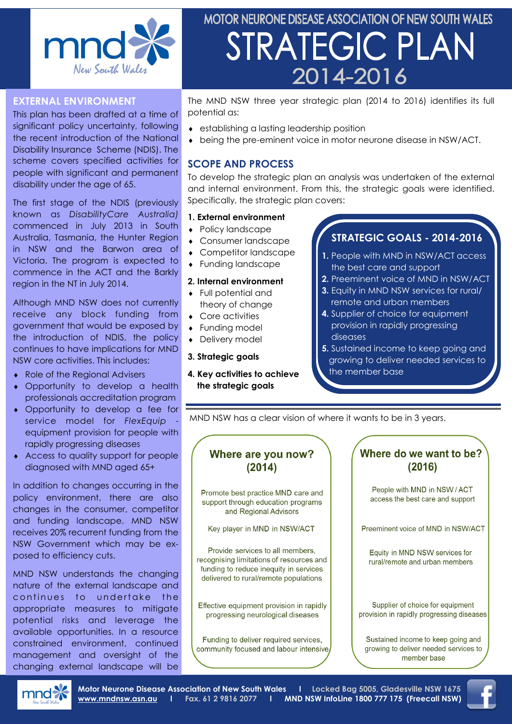

### **EXTERNAL ENVIRONMENT**

This plan has been drafted at a time of significant policy uncertainty, following the recent introduction of the National Disability Insurance Scheme (NDIS). The scheme covers specified activities for people with significant and permanent disability under the age of 65.

The first stage of the NDIS (previously known as *DisabilityCare Australia)*  commenced in July 2013 in South Australia, Tasmania, the Hunter Region in NSW and the Barwon area of Victoria. The program is expected to commence in the ACT and the Barkly region in the NT in July 2014.

Although MND NSW does not currently receive any block funding from government that would be exposed by the introduction of NDIS, the policy continues to have implications for MND NSW core activities. This includes:

- Role of the Regional Advisers
- Opportunity to develop a health professionals accreditation program
- Opportunity to develop a fee for service model for *FlexEquip* equipment provision for people with rapidly progressing diseases
- Access to quality support for people diagnosed with MND aged 65+

In addition to changes occurring in the policy environment, there are also changes in the consumer, competitor and funding landscape. MND NSW receives 20% recurrent funding from the NSW Government which may be exposed to efficiency cuts.

MND NSW understands the changing nature of the external landscape and continues to undertake the appropriate measures to mitigate potential risks and leverage the available opportunities. In a resource constrained environment, continued management and oversight of the changing external landscape will be

# MOTOR NEURONE DISEASE ASSOCIATION OF NEW SOUTH WALES STRATEGIC PLAN 2014-2016

The MND NSW three year strategic plan (2014 to 2016) identifies its full potential as:

- establishing a lasting leadership position
- being the pre-eminent voice in motor neurone disease in NSW/ACT.

## **SCOPE AND PROCESS**

To develop the strategic plan an analysis was undertaken of the external and internal environment. From this, the strategic goals were identified. Specifically, the strategic plan covers:

#### **1. External environment**

- Policy landscape
- Consumer landscape
- Competitor landscape
- Funding landscape

#### **2. Internal environment**

- Full potential and theory of change
- Core activities
- Funding model
- Delivery model
- **3. Strategic goals**
- **4. Key activities to achieve the strategic goals**

## **STRATEGIC GOALS - 2014-2016**

- **1.** People with MND in NSW/ACT access the best care and support
- **2.** Preeminent voice of MND in NSW/ACT
- **3.** Equity in MND NSW services for rural/ remote and urban members
- **4.** Supplier of choice for equipment provision in rapidly progressing diseases
- **5.** Sustained income to keep going and growing to deliver needed services to the member base

MND NSW has a clear vision of where it wants to be in 3 years.

## Where are you now?  $(2014)$ Promote best practice MND care and

support through education programs and Regional Advisors

Key player in MND in NSW/ACT

Provide services to all members, recognising limitations of resources and funding to reduce inequity in services delivered to rural/remote populations

Effective equipment provision in rapidly progressing neurological diseases

Funding to deliver required services, community focused and labour intensive